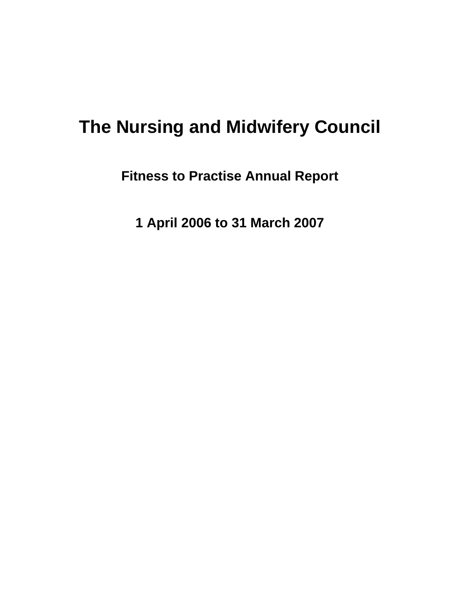# **The Nursing and Midwifery Council**

**Fitness to Practise Annual Report** 

**1 April 2006 to 31 March 2007**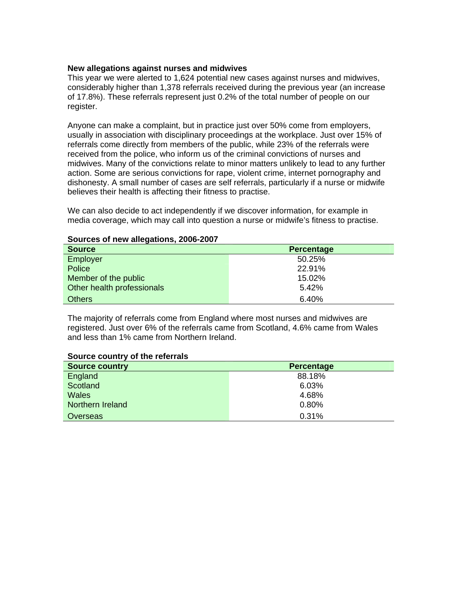#### **New allegations against nurses and midwives**

This year we were alerted to 1,624 potential new cases against nurses and midwives, considerably higher than 1,378 referrals received during the previous year (an increase of 17.8%). These referrals represent just 0.2% of the total number of people on our register.

Anyone can make a complaint, but in practice just over 50% come from employers, usually in association with disciplinary proceedings at the workplace. Just over 15% of referrals come directly from members of the public, while 23% of the referrals were received from the police, who inform us of the criminal convictions of nurses and midwives. Many of the convictions relate to minor matters unlikely to lead to any further action. Some are serious convictions for rape, violent crime, internet pornography and dishonesty. A small number of cases are self referrals, particularly if a nurse or midwife believes their health is affecting their fitness to practise.

We can also decide to act independently if we discover information, for example in media coverage, which may call into question a nurse or midwife's fitness to practise.

#### **Sources of new allegations, 2006-2007**

| <b>Source</b>              | <b>Percentage</b> |
|----------------------------|-------------------|
| Employer                   | 50.25%            |
| <b>Police</b>              | 22.91%            |
| Member of the public       | 15.02%            |
| Other health professionals | 5.42%             |
| <b>Others</b>              | 6.40%             |

The majority of referrals come from England where most nurses and midwives are registered. Just over 6% of the referrals came from Scotland, 4.6% came from Wales and less than 1% came from Northern Ireland.

#### **Source country of the referrals**

| <b>Source country</b> | <b>Percentage</b> |
|-----------------------|-------------------|
| England               | 88.18%            |
| Scotland              | 6.03%             |
| <b>Wales</b>          | 4.68%             |
| Northern Ireland      | 0.80%             |
| Overseas              | 0.31%             |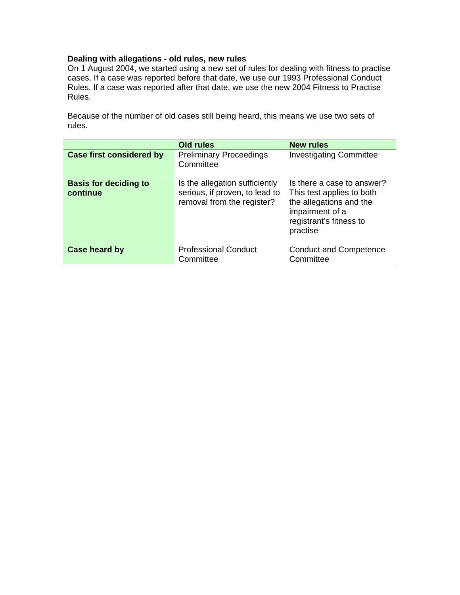## **Dealing with allegations - old rules, new rules**

On 1 August 2004, we started using a new set of rules for dealing with fitness to practise cases. If a case was reported before that date, we use our 1993 Professional Conduct Rules. If a case was reported after that date, we use the new 2004 Fitness to Practise Rules.

Because of the number of old cases still being heard, this means we use two sets of rules.

|                                          | Old rules                                                                                      | New rules                                                                                                                                    |
|------------------------------------------|------------------------------------------------------------------------------------------------|----------------------------------------------------------------------------------------------------------------------------------------------|
| <b>Case first considered by</b>          | <b>Preliminary Proceedings</b><br>Committee                                                    | <b>Investigating Committee</b>                                                                                                               |
| <b>Basis for deciding to</b><br>continue | Is the allegation sufficiently<br>serious, if proven, to lead to<br>removal from the register? | Is there a case to answer?<br>This test applies to both<br>the allegations and the<br>impairment of a<br>registrant's fitness to<br>practise |
| Case heard by                            | <b>Professional Conduct</b><br>Committee                                                       | <b>Conduct and Competence</b><br>Committee                                                                                                   |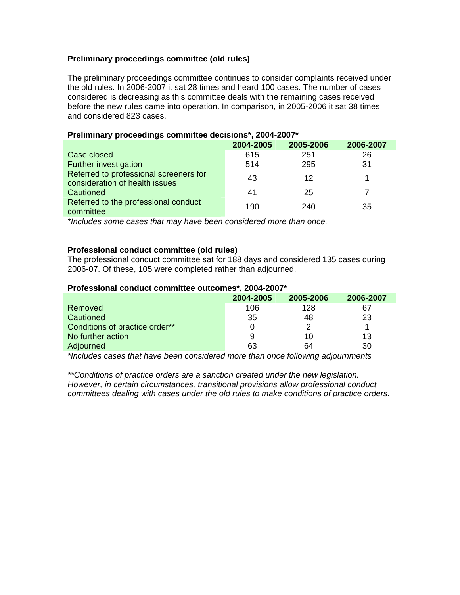## **Preliminary proceedings committee (old rules)**

The preliminary proceedings committee continues to consider complaints received under the old rules. In 2006-2007 it sat 28 times and heard 100 cases. The number of cases considered is decreasing as this committee deals with the remaining cases received before the new rules came into operation. In comparison, in 2005-2006 it sat 38 times and considered 823 cases.

|                                                                          | 2004-2005 | 2005-2006 | 2006-2007 |
|--------------------------------------------------------------------------|-----------|-----------|-----------|
| Case closed                                                              | 615       | 251       | 26        |
| <b>Further investigation</b>                                             | 514       | 295       | 31        |
| Referred to professional screeners for<br>consideration of health issues | 43        | 12        |           |
| Cautioned                                                                | 41        | 25        |           |
| Referred to the professional conduct<br>committee                        | 190       | 240       | 35        |

#### **Preliminary proceedings committee decisions\*, 2004-2007\***

*\*Includes some cases that may have been considered more than once.* 

## **Professional conduct committee (old rules)**

The professional conduct committee sat for 188 days and considered 135 cases during 2006-07. Of these, 105 were completed rather than adjourned.

#### **Professional conduct committee outcomes\*, 2004-2007\***

|                                | 2004-2005 | 2005-2006 | 2006-2007 |
|--------------------------------|-----------|-----------|-----------|
| Removed                        | 106       | 128       | 67        |
| Cautioned                      | 35        | 48        | 23        |
| Conditions of practice order** |           |           |           |
| No further action              | 9         | 10        | 13        |
| Adjourned                      | 63        | 64        | 30        |

*\*Includes cases that have been considered more than once following adjournments* 

*\*\*Conditions of practice orders are a sanction created under the new legislation. However, in certain circumstances, transitional provisions allow professional conduct committees dealing with cases under the old rules to make conditions of practice orders.*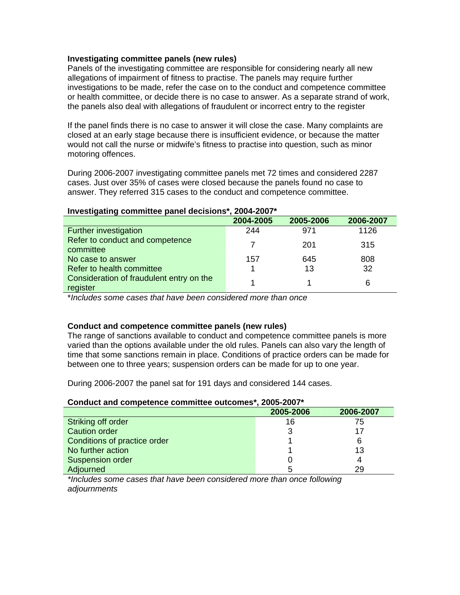#### **Investigating committee panels (new rules)**

Panels of the investigating committee are responsible for considering nearly all new allegations of impairment of fitness to practise. The panels may require further investigations to be made, refer the case on to the conduct and competence committee or health committee, or decide there is no case to answer. As a separate strand of work, the panels also deal with allegations of fraudulent or incorrect entry to the register

If the panel finds there is no case to answer it will close the case. Many complaints are closed at an early stage because there is insufficient evidence, or because the matter would not call the nurse or midwife's fitness to practise into question, such as minor motoring offences.

During 2006-2007 investigating committee panels met 72 times and considered 2287 cases. Just over 35% of cases were closed because the panels found no case to answer. They referred 315 cases to the conduct and competence committee.

#### **Investigating committee panel decisions\*, 2004-2007\***

|                                                      | 2004-2005 | 2005-2006 | 2006-2007 |
|------------------------------------------------------|-----------|-----------|-----------|
| Further investigation                                | 244       | 971       | 1126      |
| Refer to conduct and competence<br>committee         |           | 201       | 315       |
| No case to answer                                    | 157       | 645       | 808       |
| Refer to health committee                            |           | 13        | 32        |
| Consideration of fraudulent entry on the<br>register |           |           | 6         |

\**Includes some cases that have been considered more than once* 

#### **Conduct and competence committee panels (new rules)**

The range of sanctions available to conduct and competence committee panels is more varied than the options available under the old rules. Panels can also vary the length of time that some sanctions remain in place. Conditions of practice orders can be made for between one to three years; suspension orders can be made for up to one year.

During 2006-2007 the panel sat for 191 days and considered 144 cases.

#### **Conduct and competence committee outcomes\*, 2005-2007\***

|                              | 2005-2006 | 2006-2007 |  |
|------------------------------|-----------|-----------|--|
| Striking off order           | 16        | 75        |  |
| <b>Caution order</b>         |           |           |  |
| Conditions of practice order |           |           |  |
| No further action            |           | 13        |  |
| Suspension order             |           |           |  |
| Adjourned                    |           | 29        |  |

*\*Includes some cases that have been considered more than once following adjournments*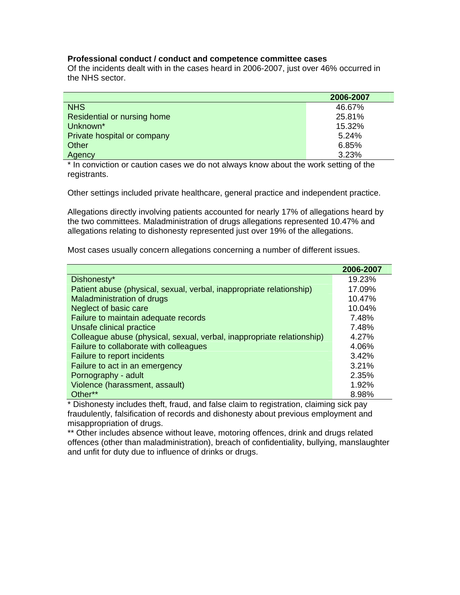#### **Professional conduct / conduct and competence committee cases**

Of the incidents dealt with in the cases heard in 2006-2007, just over 46% occurred in the NHS sector.

|                             | 2006-2007 |
|-----------------------------|-----------|
| <b>NHS</b>                  | 46.67%    |
| Residential or nursing home | 25.81%    |
| Unknown <sup>*</sup>        | 15.32%    |
| Private hospital or company | 5.24%     |
| Other                       | 6.85%     |
| Agency                      | 3.23%     |

\* In conviction or caution cases we do not always know about the work setting of the registrants.

Other settings included private healthcare, general practice and independent practice.

Allegations directly involving patients accounted for nearly 17% of allegations heard by the two committees. Maladministration of drugs allegations represented 10.47% and allegations relating to dishonesty represented just over 19% of the allegations.

Most cases usually concern allegations concerning a number of different issues.

|                                                                        | 2006-2007 |
|------------------------------------------------------------------------|-----------|
| Dishonesty*                                                            | 19.23%    |
| Patient abuse (physical, sexual, verbal, inappropriate relationship)   | 17.09%    |
| Maladministration of drugs                                             | 10.47%    |
| Neglect of basic care                                                  | 10.04%    |
| Failure to maintain adequate records                                   | 7.48%     |
| Unsafe clinical practice                                               | 7.48%     |
| Colleague abuse (physical, sexual, verbal, inappropriate relationship) | 4.27%     |
| Failure to collaborate with colleagues                                 | 4.06%     |
| Failure to report incidents                                            | 3.42%     |
| Failure to act in an emergency                                         | 3.21%     |
| Pornography - adult                                                    | 2.35%     |
| Violence (harassment, assault)                                         | 1.92%     |
| Other**                                                                | 8.98%     |

\* Dishonesty includes theft, fraud, and false claim to registration, claiming sick pay fraudulently, falsification of records and dishonesty about previous employment and misappropriation of drugs.

\*\* Other includes absence without leave, motoring offences, drink and drugs related offences (other than maladministration), breach of confidentiality, bullying, manslaughter and unfit for duty due to influence of drinks or drugs.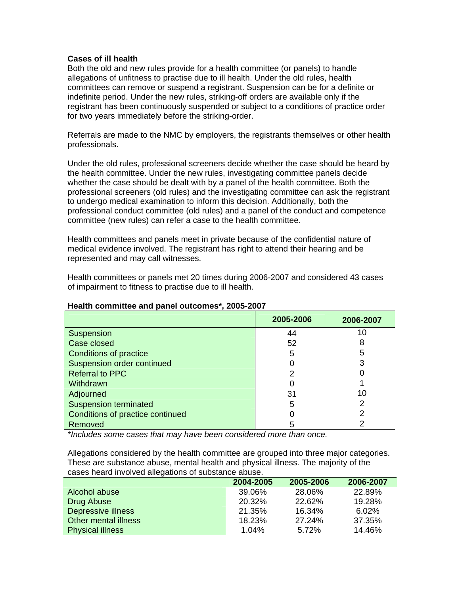#### **Cases of ill health**

Both the old and new rules provide for a health committee (or panels) to handle allegations of unfitness to practise due to ill health. Under the old rules, health committees can remove or suspend a registrant. Suspension can be for a definite or indefinite period. Under the new rules, striking-off orders are available only if the registrant has been continuously suspended or subject to a conditions of practice order for two years immediately before the striking-order.

Referrals are made to the NMC by employers, the registrants themselves or other health professionals.

Under the old rules, professional screeners decide whether the case should be heard by the health committee. Under the new rules, investigating committee panels decide whether the case should be dealt with by a panel of the health committee. Both the professional screeners (old rules) and the investigating committee can ask the registrant to undergo medical examination to inform this decision. Additionally, both the professional conduct committee (old rules) and a panel of the conduct and competence committee (new rules) can refer a case to the health committee.

Health committees and panels meet in private because of the confidential nature of medical evidence involved. The registrant has right to attend their hearing and be represented and may call witnesses.

Health committees or panels met 20 times during 2006-2007 and considered 43 cases of impairment to fitness to practise due to ill health.

|                                  | 2005-2006 | 2006-2007 |
|----------------------------------|-----------|-----------|
| Suspension                       | 44        | 10        |
| Case closed                      | 52        | 8         |
| <b>Conditions of practice</b>    | 5         | 5         |
| Suspension order continued       |           |           |
| <b>Referral to PPC</b>           | າ         |           |
| Withdrawn                        |           |           |
| Adjourned                        | 31        | 10        |
| <b>Suspension terminated</b>     | 5         |           |
| Conditions of practice continued |           | າ         |
| Removed                          |           |           |

#### **Health committee and panel outcomes\*, 2005-2007**

*\*Includes some cases that may have been considered more than once.* 

Allegations considered by the health committee are grouped into three major categories. These are substance abuse, mental health and physical illness. The majority of the cases heard involved allegations of substance abuse.

|                         | 2004-2005 | 2005-2006 | 2006-2007 |
|-------------------------|-----------|-----------|-----------|
| Alcohol abuse           | 39.06%    | 28.06%    | 22.89%    |
| Drug Abuse              | 20.32%    | 22.62%    | 19.28%    |
| Depressive illness      | 21.35%    | 16.34%    | $6.02\%$  |
| Other mental illness    | 18.23%    | 27.24%    | 37.35%    |
| <b>Physical illness</b> | 1.04%     | 5.72%     | 14.46%    |